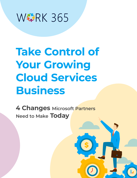

# **Take Control of Your Growing Cloud Services Business**

**4 Changes Microsoft Partners Need to Make Today**

**\$**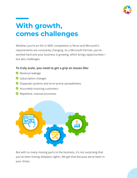

## **With growth, comes challenges**

Whether you're an ISV or MSP, competition is fierce and Microsoft's requirements are constantly changing. As a Microsoft Partner, you've worked hard and your business is growing, which brings opportunities but also challenges.

**To truly scale, you need to get a grip on issues like:**

- Revenue leakage
- Subscription changes
- ◆ Disparate systems and error-prone spreadsheets
- ◆ Accurately invoicing customers
- Repetitive, manual processes



But with so many moving parts to the business, it's not surprising that you've been having sleepless nights. We get that because we've been in your shoes.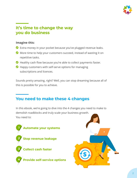

## **It's time to change the way you do business**

#### **Imagine this:**

- Extra money in your pocket because you've plugged revenue leaks.
- More time to help your customers succeed, instead of wasting it on repetitive tasks.
- $\bullet$  Healthy cash flow because you're able to collect payments faster.
- Happy customers with self-serve options for managing subscriptions and licences.

Sounds pretty amazing, right? Well, you can stop dreaming because all of this is possible for you to achieve.

## **You need to make these 4 changes**

In this ebook, we're going to dive into the 4 changes you need to make to demolish roadblocks and truly scale your business growth. You need to:



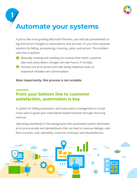

## **Automate your systems**

**1**

If you're like most growing Microsoft Partners, you still use spreadsheets to log and record changes to subscriptions and services. Or you have separate systems for billing, provisioning, invoicing, sales, and service. The problem with this is twofold:

- **T** Manually creating and sending out invoices that match customer data and subscription changes can take hours, if not days.
- **2** Humans are error-prone and hate doing repetitive tasks so expensive mistakes are commonplace.

**Most importantly, this process is not scalable.**

## **From your bottom line to customer satisfaction, automation is key**

A system for billing automation and subscription management is crucial if you want to grow your subscription-based business through recurring revenue.

Operating seamlessly in the background, this automated system eliminates error-prone emails and spreadsheets that can lead to revenue leakage, cash flow crunches, and, ultimately, customer confusion and dissatisfaction.

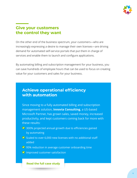

## **Give your customers the control they want**

On the other end of the business spectrum, your customers—who are increasingly expressing a desire to manage their own licenses—are driving demand for automated self-service portals that put them in charge of services and enable them to launch and configure applications.

By automating billing and subscription management for your business, you can save hundreds of employee hours that can be used to focus on creating value for your customers and sales for your business.

## **Achieve operational efficiency with automation**

Since moving to a fully automated billing and subscription management solution, **Innovia Consulting**, a US-based Microsoft Partner, has grown sales, saved money, increased productivity, and kept customers coming back for more with these results:

- ◆ 300% projected annual growth due to efficiencies gained by automating
- $\triangledown$  Scaled to over 6,000 new licenses with no additional staff added
- ◆ 95% reduction in average customer onboarding time
- **O** Improved customer satisfaction

**[Read the full case study](https://work365apps.com/wp-content/uploads/2019/01/Innovia-Work-365-Case-Study.pdf)**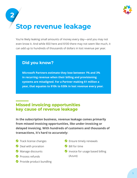

## **2 Stop revenue leakage**

You're likely leaking small amounts of money every day—and you may not even know it. And while \$50 here and \$100 there may not seem like much, it can add up to hundreds of thousands of dollars in lost revenue per year.

## **Did you know?**

**Microsoft Partners estimate they lose between 1% and 3% in recurring revenue when their billing and provisioning systems are misaligned. For a Partner making \$1 million a year, that equates to \$10k to \$30k in lost revenue every year.**

## **Missed invoicing opportunities key cause of revenue leakage**

**In the subscription business, revenue leakage comes primarily from missed invoicing opportunities, like under-invoicing or delayed invoicing. With hundreds of customers and thousands of transactions, it's hard to accurately:**

- **Track license changes**
- **O** Deal with proration
- **Manage discounts**
- **Process refunds**
- **Provide product bundling**
- **C** Ensure timely renewals
- Bill for time
- Invoice for usage based billing (Azure)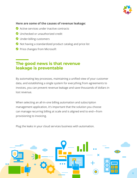

#### **Here are some of the causes of revenue leakage:**

- **◆** Active services under inactive contracts
- **O** Unchecked or unauthorized credit
- O Under-billing customers
- $\bullet$  Not having a standardized product catalog and price list
- Price changes from Microsoft

## **The good news is that revenue leakage is preventable**

By automating key processes, maintaining a unified view of your customer data, and establishing a single system for everything from agreements to invoices, you can prevent revenue leakage and save thousands of dollars in lost revenue.

When selecting an all-in-one billing automation and subscription management application, it's important that the solution you choose can manage recurring billing at scale and is aligned end to end—from provisioning to invoicing.

Plug the leaks in your cloud services business with automation.

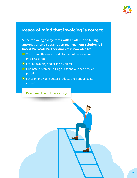

### **Peace of mind that invoicing is correct**

**Since replacing old systems with an all-in-one billing automation and subscription management solution, USbased Microsoft Partner Amaxra is now able to:**

- ◆ Track down thousands of dollars in lost revenue due to invoicing errors
- ◆ Ensure invoicing and billing is correct
- ◆ Eliminate customers' billing questions with self-service portal
- ◆ Focus on providing better products and support to its customers

#### **[Download the full case study](https://work365apps.com/wp-content/uploads/2019/10/Amaxra-Case-Study-for-Work-365.pdf)**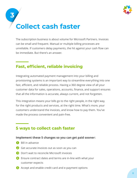

## **3 Collect cash faster**

The subscription business is about volume for Microsoft Partners. Invoices can be small and frequent. Manual or multiple billing processes are unreliable. If customers delay payments, the hit against your cash flow can be immediate. But there's an answer.

## **Fast, efficient, reliable invoicing**

Integrating automated payment management into your billing and provisioning systems is an important way to streamline everything into one fast, efficient, and reliable process. Having a 360 degree view of all your customer data for sales, operations, accounts, finance, and support ensures that all the information is accurate, always current, and not forgotten.

This integration means your bills go to the right people, in the right way, for the right products and services, at the right time. What's more, your customers understand the invoices, and know how to pay them. You've made the process convenient and pain-free.

## **5 ways to collect cash faster**

#### **Implement these 5 changes so you can get paid sooner:**

- **Bill in advance**
- **2** Get accurate invoices out as soon as you can
- **B** Don't wait to reconcile Microsoft invoices
- Ensure contract dates and terms are in-line with what your customer expects
- **B** Accept and enable credit card and e-payment options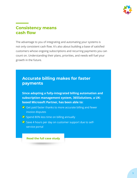

## **Consistency means cash flow**

The advantage to you of integrating and automating your systems is not only consistent cash flow. It's also about building a base of satisfied customers whose ongoing subscriptions and recurring payments you can count on. Understanding their plans, priorities, and needs will fuel your growth in the future.

## **Accurate billing makes for faster payments**

**Since adopting a fully-integrated billing automation and subscription management system, 365Solutions, a UKbased Microsoft Partner, has been able to:**

- Get paid faster thanks to more accurate billing and fewer invoice disputes
- Spend 80% less time on billing annually
- Save 4 hours per day on customer support due to selfservice portal

#### **[Read the full case study](https://work365apps.com/wp-content/uploads/2019/10/Customer-Case-Study-365-Solutions.pdf)**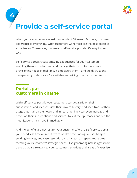

**4**

## **Provide a self-service portal**

When you're competing against thousands of Microsoft Partners, customer experience is everything. What customers want most are the best possible experiences. These days, that means self-service portals. It's easy to see why.

Self-service portals create amazing experiences for your customers, enabling them to understand and manage their own information and provisioning needs in real time. It empowers them—and builds trust and transparency. It shows you're available and willing to work on their terms.

## **Portals put customers in charge**

With self-service portals, your customers can get a grip on their subscriptions and licenses, view their invoice history, and keep track of their usage data—all on their own, and in real time. They can even manage and provision their subscriptions and services to suit their purposes and see the modifications they make immediately.

And the benefits are not just for your customers. With a self-service portal, you spend less time on repetitive tasks like provisioning license changes, sending invoices, and case resolution, and instead can spend more time meeting your customers' strategic needs—like generating new insights from trends that are relevant to your customers' priorities and areas of expertise.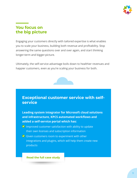

### **You focus on the big picture**

Engaging your customers directly with tailored expertise is what enables you to scale your business, building both revenue and profitability. Stop answering the same questions over and over again, and start thinking longer-term and bigger-picture.

Ultimately, the self-service advantage boils down to healthier revenues and happier customers, even as you're scaling your business for both.



## **Exceptional customer service with selfservice**

**Leading system integrator for Microsoft cloud solutions and infrastructure, KPCS automated workflows and added a self-service portal which has:**

- $\bullet$  Improved customer satisfaction with ability to update their own licenses and subscription information
- $\bigtriangledown$  Given customers room to experiment with other integrations and plugins, which will help them create new products

#### **[Read the full case study](https://work365apps.com/wp-content/uploads/2019/04/KPCS-Work-365-Case-Study.pdf)**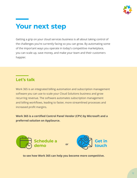

## **Your next step**

Getting a grip on your cloud services business is all about taking control of the challenges you're currently facing so you can grow. By automating some of the important ways you operate in today's competitive marketplace, you can scale up, save money, and make your team and their customers happier.

### **Let's talk**

Work 365 is an integrated billing automation and subscription management software you can use to scale your Cloud Solutions business and grow recurring revenue. The software automates subscription management and billing workflows, leading to faster, more streamlined processes and increased profit margins.

**Work 365 is a certified Control Panel Vendor (CPV) by Microsoft and a preferred solution on AppSource.**



 **to see how Work 365 can help you become more competitive.**